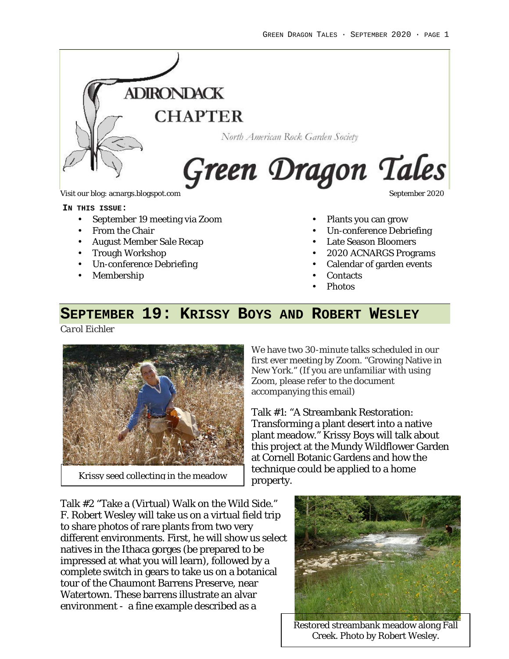

Visit our blog: acnargs.blogspot.com September 2020

#### **IN THIS ISSUE:**

- September 19 meeting via Zoom
- From the Chair
- August Member Sale Recap
- Trough Workshop
- Un-conference Debriefing
- Membership

- Plants you can grow
- Un-conference Debriefing
- Late Season Bloomers
- 2020 ACNARGS Programs
- Calendar of garden events
- **Contacts**
- Photos

# **SEPTEMBER 19: KRISSY BOYS AND ROBERT WESLEY**

*Carol Eichler*



Krissy seed collecting in the meadow

We have two 30-minute talks scheduled in our first ever meeting by Zoom. "Growing Native in New York." (If you are unfamiliar with using Zoom, please refer to the document accompanying this email)

Talk #1: "A Streambank Restoration: Transforming a plant desert into a native plant meadow." Krissy Boys will talk about this project at the Mundy Wildflower Garden at Cornell Botanic Gardens and how the technique could be applied to a home property.

Talk #2 "Take a (Virtual) Walk on the Wild Side." F. Robert Wesley will take us on a virtual field trip to share photos of rare plants from two very different environments. First, he will show us select natives in the Ithaca gorges (be prepared to be impressed at what you will learn), followed by a complete switch in gears to take us on a botanical tour of the Chaumont Barrens Preserve, near Watertown. These barrens illustrate an alvar environment - a fine example described as a



Restored streambank meadow along Fall Creek. Photo by Robert Wesley.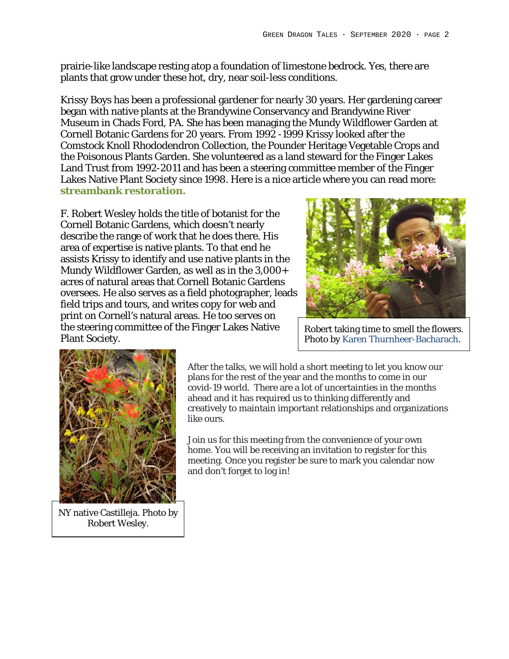prairie-like landscape resting atop a foundation of limestone bedrock. Yes, there are plants that grow under these hot, dry, near soil-less conditions.

Krissy Boys has been a professional gardener for nearly 30 years. Her gardening career began with native plants at the Brandywine Conservancy and Brandywine River Museum in Chads Ford, PA. She has been managing the Mundy Wildflower Garden at Cornell Botanic Gardens for 20 years. From 1992 -1999 Krissy looked after the Comstock Knoll Rhododendron Collection, the Pounder Heritage Vegetable Crops and the Poisonous Plants Garden. She volunteered as a land steward for the Finger Lakes Land Trust from 1992-2011 and has been a steering committee member of the Finger Lakes Native Plant Society since 1998. Here is a nice article where you can read more: **streambank restoration.**

F. Robert Wesley holds the title of botanist for the Cornell Botanic Gardens, which doesn't nearly describe the range of work that he does there. His area of expertise is native plants. To that end he assists Krissy to identify and use native plants in the Mundy Wildflower Garden, as well as in the 3,000+ acres of natural areas that Cornell Botanic Gardens oversees. He also serves as a field photographer, leads field trips and tours, and writes copy for web and print on Cornell's natural areas. He too serves on the steering committee of the Finger Lakes Native Plant Society.



Robert taking time to smell the flowers. Photo by Karen Thurnheer-Bacharach.



NY native Castilleja. Photo by Robert Wesley.

After the talks, we will hold a short meeting to let you know our plans for the rest of the year and the months to come in our covid-19 world. There are a lot of uncertainties in the months ahead and it has required us to thinking differently and creatively to maintain important relationships and organizations like ours.

Join us for this meeting from the convenience of your own home. You will be receiving an invitation to register for this meeting. Once you register be sure to mark you calendar now and don't forget to log in!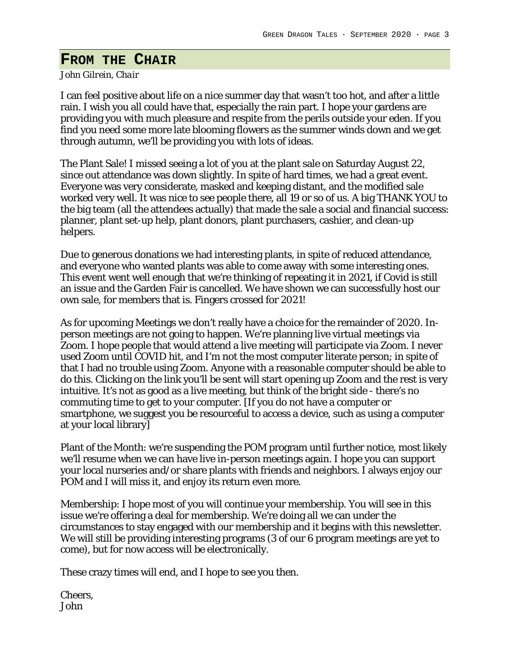## **FROM THE CHAIR**

#### *John Gilrein, Chair*

I can feel positive about life on a nice summer day that wasn't too hot, and after a little rain. I wish you all could have that, especially the rain part. I hope your gardens are providing you with much pleasure and respite from the perils outside your eden. If you find you need some more late blooming flowers as the summer winds down and we get through autumn, we'll be providing you with lots of ideas.

The Plant Sale! I missed seeing a lot of you at the plant sale on Saturday August 22, since out attendance was down slightly. In spite of hard times, we had a great event. Everyone was very considerate, masked and keeping distant, and the modified sale worked very well. It was nice to see people there, all 19 or so of us. A big THANK YOU to the big team (all the attendees actually) that made the sale a social and financial success: planner, plant set-up help, plant donors, plant purchasers, cashier, and clean-up helpers.

Due to generous donations we had interesting plants, in spite of reduced attendance, and everyone who wanted plants was able to come away with some interesting ones. This event went well enough that we're thinking of repeating it in 2021, if Covid is still an issue and the Garden Fair is cancelled. We have shown we can successfully host our own sale, for members that is. Fingers crossed for 2021!

As for upcoming Meetings we don't really have a choice for the remainder of 2020. Inperson meetings are not going to happen. We're planning live virtual meetings via Zoom. I hope people that would attend a live meeting will participate via Zoom. I never used Zoom until COVID hit, and I'm not the most computer literate person; in spite of that I had no trouble using Zoom. Anyone with a reasonable computer should be able to do this. Clicking on the link you'll be sent will start opening up Zoom and the rest is very intuitive. It's not as good as a live meeting, but think of the bright side - there's no commuting time to get to your computer. [If you do not have a computer or smartphone, we suggest you be resourceful to access a device, such as using a computer at your local library]

Plant of the Month: we're suspending the POM program until further notice, most likely we'll resume when we can have live in-person meetings again. I hope you can support your local nurseries and/or share plants with friends and neighbors. I always enjoy our POM and I will miss it, and enjoy its return even more.

Membership: I hope most of you will continue your membership. You will see in this issue we're offering a deal for membership. We're doing all we can under the circumstances to stay engaged with our membership and it begins with this newsletter. We will still be providing interesting programs (3 of our 6 program meetings are yet to come), but for now access will be electronically.

These crazy times will end, and I hope to see you then.

Cheers, John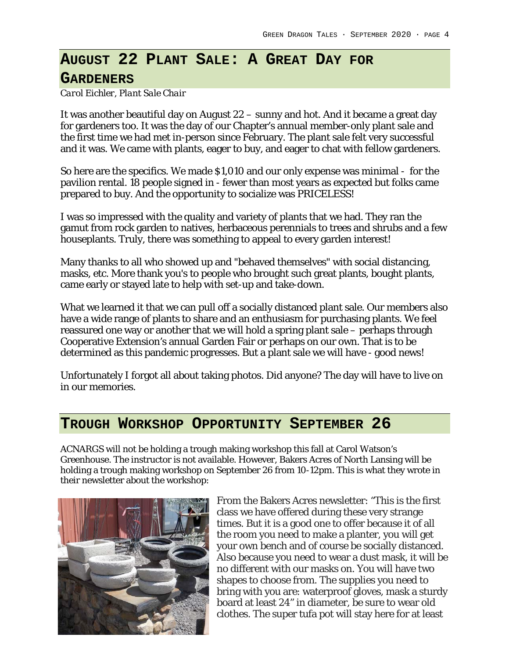# **AUGUST 22 PLANT SALE: A GREAT DAY FOR**

### **GARDENERS**

*Carol Eichler, Plant Sale Chair*

It was another beautiful day on August 22 – sunny and hot. And it became a great day for gardeners too. It was the day of our Chapter's annual member-only plant sale and the first time we had met in-person since February. The plant sale felt very successful and it was. We came with plants, eager to buy, and eager to chat with fellow gardeners.

So here are the specifics. We made \$1,010 and our only expense was minimal - for the pavilion rental. 18 people signed in - fewer than most years as expected but folks came prepared to buy. And the opportunity to socialize was PRICELESS!

I was so impressed with the quality and variety of plants that we had. They ran the gamut from rock garden to natives, herbaceous perennials to trees and shrubs and a few houseplants. Truly, there was something to appeal to every garden interest!

Many thanks to all who showed up and "behaved themselves" with social distancing, masks, etc. More thank you's to people who brought such great plants, bought plants, came early or stayed late to help with set-up and take-down.

What we learned it that we can pull off a socially distanced plant sale. Our members also have a wide range of plants to share and an enthusiasm for purchasing plants. We feel reassured one way or another that we will hold a spring plant sale – perhaps through Cooperative Extension's annual Garden Fair or perhaps on our own. That is to be determined as this pandemic progresses. But a plant sale we will have - good news!

Unfortunately I forgot all about taking photos. Did anyone? The day will have to live on in our memories.

### **TROUGH WORKSHOP OPPORTUNITY SEPTEMBER 26**

ACNARGS will not be holding a trough making workshop this fall at Carol Watson's Greenhouse. The instructor is not available. However, Bakers Acres of North Lansing will be holding a trough making workshop on September 26 from 10-12pm. This is what they wrote in their newsletter about the workshop:



From the Bakers Acres newsletter: "This is the first class we have offered during these very strange times. But it is a good one to offer because it of all the room you need to make a planter, you will get your own bench and of course be socially distanced. Also because you need to wear a dust mask, it will be no different with our masks on. You will have two shapes to choose from. The supplies you need to bring with you are: waterproof gloves, mask a sturdy board at least 24" in diameter, be sure to wear old clothes. The super tufa pot will stay here for at least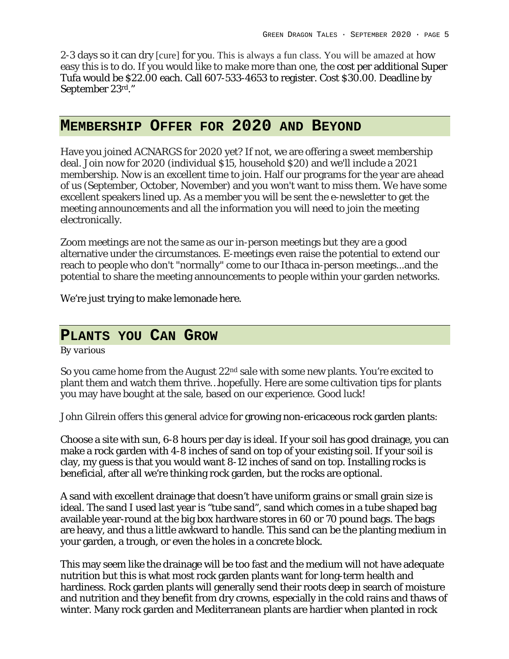2-3 days so it can dry [cure] for you. This is always a fun class. You will be amazed at how easy this is to do. If you would like to make more than one, the cost per additional Super Tufa would be \$22.00 each. Call 607-533-4653 to register. Cost \$30.00. Deadline by September 23rd."

### **MEMBERSHIP OFFER FOR 2020 AND BEYOND**

Have you joined ACNARGS for 2020 yet? If not, we are offering a sweet membership deal. Join now for 2020 (individual \$15, household \$20) and we'll include a 2021 membership. Now is an excellent time to join. Half our programs for the year are ahead of us (September, October, November) and you won't want to miss them. We have some excellent speakers lined up. As a member you will be sent the e-newsletter to get the meeting announcements and all the information you will need to join the meeting electronically.

Zoom meetings are not the same as our in-person meetings but they are a good alternative under the circumstances. E-meetings even raise the potential to extend our reach to people who don't "normally" come to our Ithaca in-person meetings...and the potential to share the meeting announcements to people within your garden networks.

We're just trying to make lemonade here.

### **PLANTS YOU CAN GROW**

*By various*

So you came home from the August 22<sup>nd</sup> sale with some new plants. You're excited to plant them and watch them thrive…hopefully. Here are some cultivation tips for plants you may have bought at the sale, based on our experience. Good luck!

John Gilrein offers this general advice for growing non-ericaceous rock garden plants:

Choose a site with sun, 6-8 hours per day is ideal. If your soil has good drainage, you can make a rock garden with 4-8 inches of sand on top of your existing soil. If your soil is clay, my guess is that you would want 8-12 inches of sand on top. Installing rocks is beneficial, after all we're thinking rock garden, but the rocks are optional.

A sand with excellent drainage that doesn't have uniform grains or small grain size is ideal. The sand I used last year is "tube sand", sand which comes in a tube shaped bag available year-round at the big box hardware stores in 60 or 70 pound bags. The bags are heavy, and thus a little awkward to handle. This sand can be the planting medium in your garden, a trough, or even the holes in a concrete block.

This may seem like the drainage will be too fast and the medium will not have adequate nutrition but this is what most rock garden plants want for long-term health and hardiness. Rock garden plants will generally send their roots deep in search of moisture and nutrition and they benefit from dry crowns, especially in the cold rains and thaws of winter. Many rock garden and Mediterranean plants are hardier when planted in rock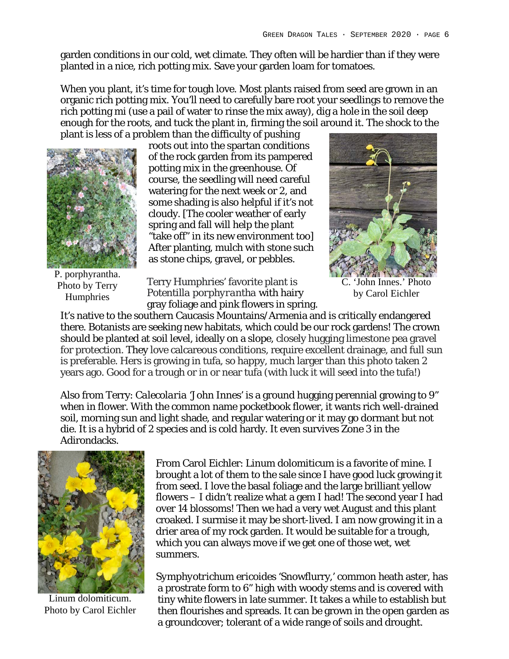garden conditions in our cold, wet climate. They often will be hardier than if they were planted in a nice, rich potting mix. Save your garden loam for tomatoes.

When you plant, it's time for tough love. Most plants raised from seed are grown in an organic rich potting mix. You'll need to carefully bare root your seedlings to remove the rich potting mi (use a pail of water to rinse the mix away), dig a hole in the soil deep enough for the roots, and tuck the plant in, firming the soil around it. The shock to the plant is less of a problem than the difficulty of pushing



roots out into the spartan conditions of the rock garden from its pampered potting mix in the greenhouse. Of course, the seedling will need careful watering for the next week or 2, and some shading is also helpful if it's not cloudy. [The cooler weather of early spring and fall will help the plant "take off" in its new environment too] After planting, mulch with stone such as stone chips, gravel, or pebbles.

C. 'John Innes.' Photo by Carol Eichler

P. porphyrantha. Photo by Terry Humphries

Terry Humphries' favorite plant is *Potentilla porphyrantha* with hairy gray foliage and pink flowers in spring.

It's native to the southern Caucasis Mountains/Armenia and is critically endangered there. Botanists are seeking new habitats, which could be our rock gardens! The crown should be planted at soil level, ideally on a slope, closely hugging limestone pea gravel for protection. They love calcareous conditions, require excellent drainage, and full sun is preferable. Hers is growing in tufa, so happy, much larger than this photo taken 2 years ago. Good for a trough or in or near tufa (with luck it will seed into the tufa!)

Also from Terry: *Calecolaria* 'John Innes' is a ground hugging perennial growing to 9" when in flower. With the common name pocketbook flower, it wants rich well-drained soil, morning sun and light shade, and regular watering or it may go dormant but not die. It is a hybrid of 2 species and is cold hardy. It even survives Zone 3 in the Adirondacks.



Linum dolomiticum. Photo by Carol Eichler

From Carol Eichler: *Linum dolomiticum* is a favorite of mine. I brought a lot of them to the sale since I have good luck growing it from seed. I love the basal foliage and the large brilliant yellow flowers – I didn't realize what a gem I had! The second year I had over 14 blossoms! Then we had a very wet August and this plant croaked. I surmise it may be short-lived. I am now growing it in a drier area of my rock garden. It would be suitable for a trough, which you can always move if we get one of those wet, wet summers.

*Symphyotrichum ericoides* 'Snowflurry,' common heath aster, has a prostrate form to 6" high with woody stems and is covered with tiny white flowers in late summer. It takes a while to establish but then flourishes and spreads. It can be grown in the open garden as a groundcover; tolerant of a wide range of soils and drought.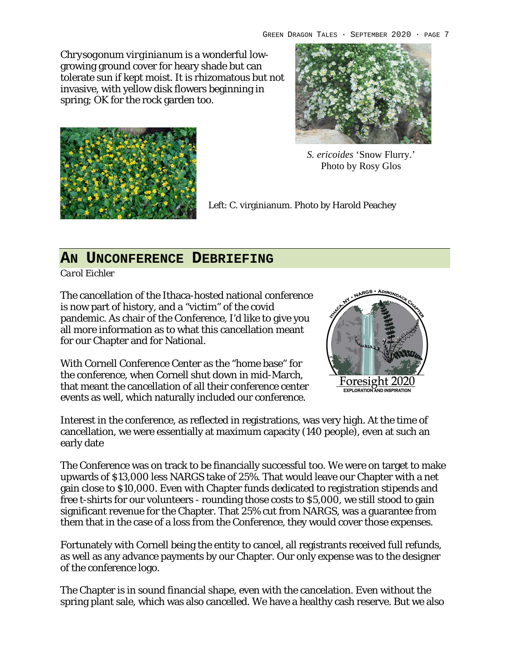*Chrysogonum virginianum* is a wonderful lowgrowing ground cover for heary shade but can tolerate sun if kept moist. It is rhizomatous but not invasive, with yellow disk flowers beginning in spring; OK for the rock garden too.





*S. ericoides* 'Snow Flurry.' Photo by Rosy Glos

Left: C. virginianum. Photo by Harold Peachey

## **AN UNCONFERENCE DEBRIEFING**

*Carol Eichler*

The cancellation of the Ithaca-hosted national conference is now part of history, and a "victim" of the covid pandemic. As chair of the Conference, I'd like to give you all more information as to what this cancellation meant for our Chapter and for National.

With Cornell Conference Center as the "home base" for the conference, when Cornell shut down in mid-March, that meant the cancellation of all their conference center events as well, which naturally included our conference.



Interest in the conference, as reflected in registrations, was very high. At the time of cancellation, we were essentially at maximum capacity (140 people), even at such an early date

The Conference was on track to be financially successful too. We were on target to make upwards of \$13,000 less NARGS take of 25%. That would leave our Chapter with a net gain close to \$10,000. Even with Chapter funds dedicated to registration stipends and free t-shirts for our volunteers - rounding those costs to \$5,000, we still stood to gain significant revenue for the Chapter. That 25% cut from NARGS, was a guarantee from them that in the case of a loss from the Conference, they would cover those expenses.

Fortunately with Cornell being the entity to cancel, all registrants received full refunds, as well as any advance payments by our Chapter. Our only expense was to the designer of the conference logo.

The Chapter is in sound financial shape, even with the cancelation. Even without the spring plant sale, which was also cancelled. We have a healthy cash reserve. But we also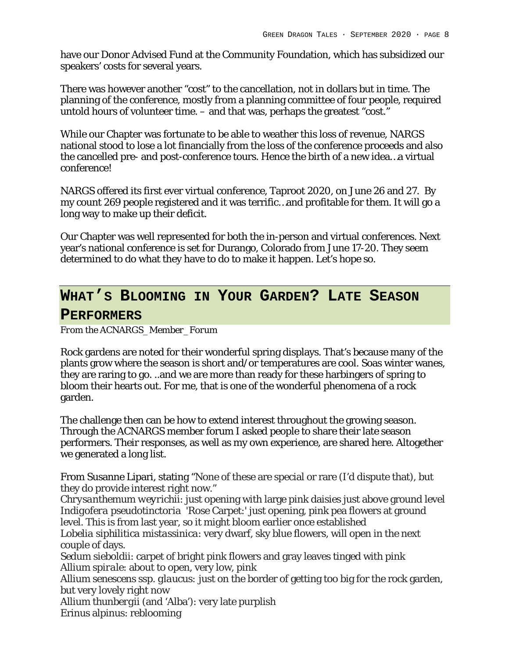have our Donor Advised Fund at the Community Foundation, which has subsidized our speakers' costs for several years.

There was however another "cost" to the cancellation, not in dollars but in time. The planning of the conference, mostly from a planning committee of four people, required untold hours of volunteer time. – and that was, perhaps the greatest "cost."

While our Chapter was fortunate to be able to weather this loss of revenue, NARGS national stood to lose a lot financially from the loss of the conference proceeds and also the cancelled pre- and post-conference tours. Hence the birth of a new idea…a virtual conference!

NARGS offered its first ever virtual conference, Taproot 2020, on June 26 and 27. By my count 269 people registered and it was terrific…and profitable for them. It will go a long way to make up their deficit.

Our Chapter was well represented for both the in-person and virtual conferences. Next year's national conference is set for Durango, Colorado from June 17-20. They seem determined to do what they have to do to make it happen. Let's hope so.

# **WHAT'S BLOOMING IN YOUR GARDEN? LATE SEASON**

#### **PERFORMERS**

*From the ACNARGS\_Member\_Forum*

Rock gardens are noted for their wonderful spring displays. That's because many of the plants grow where the season is short and/or temperatures are cool. Soas winter wanes, they are raring to go. ..and we are more than ready for these harbingers of spring to bloom their hearts out. For me, that is one of the wonderful phenomena of a rock garden.

The challenge then can be how to extend interest throughout the growing season. Through the ACNARGS member forum I asked people to share their late season performers. Their responses, as well as my own experience, are shared here. Altogether we generated a long list.

From Susanne Lipari, stating "None of these are special or rare (I'd dispute that), but they do provide interest right now."

*Chrysanthemum weyrichii*: just opening with large pink daisies just above ground level *Indigofera pseudotinctoria* 'Rose Carpet:' just opening, pink pea flowers at ground level. This is from last year, so it might bloom earlier once established

*Lobelia siphilitica mistassinica*: very dwarf, sky blue flowers, will open in the next couple of days.

*Sedum sieboldii*: carpet of bright pink flowers and gray leaves tinged with pink *Allium spirale*: about to open, very low, pink

*Allium senescens ssp. glaucus:* just on the border of getting too big for the rock garden, but very lovely right now

*Allium thunbergii* (and 'Alba'): very late purplish

Erinus alpinus: reblooming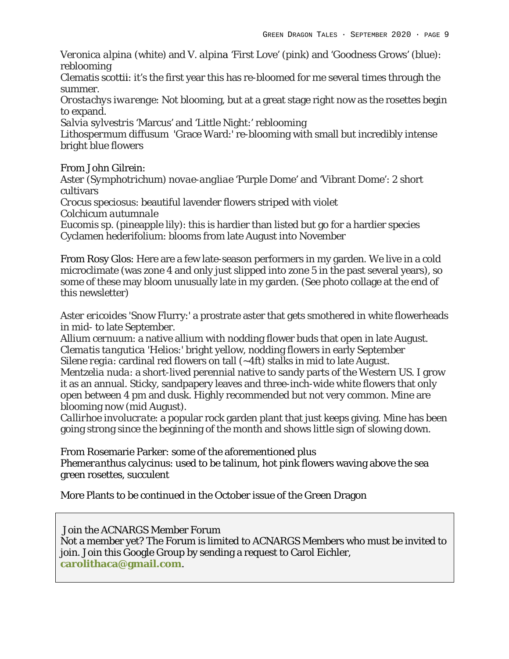*Veronica alpina* (white) and *V. alpina* 'First Love' (pink) and 'Goodness Grows' (blue): reblooming

Clematis scottii: it's the first year this has re-bloomed for me several times through the summer.

*Orostachys iwarenge*: Not blooming, but at a great stage right now as the rosettes begin to expand.

*Salvia sylvestris* 'Marcus' and 'Little Night:' reblooming

*Lithospermum diffusum* 'Grace Ward:' re-blooming with small but incredibly intense bright blue flowers

From John Gilrein:

*Aster (Symphotrichum) novae-angliae* 'Purple Dome' and 'Vibrant Dome': 2 short cultivars

*Crocus speciosus*: beautiful lavender flowers striped with violet *Colchicum autumnale*

*Eucomis* sp. (pineapple lily): this is hardier than listed but go for a hardier species Cyclamen hederifolium: blooms from late August into November

From Rosy Glos: Here are a few late-season performers in my garden. We live in a cold microclimate (was zone 4 and only just slipped into zone 5 in the past several years), so some of these may bloom unusually late in my garden. (See photo collage at the end of this newsletter)

*Aster ericoides* 'Snow Flurry:' a prostrate aster that gets smothered in white flowerheads in mid- to late September.

*Allium cernuum*: a native allium with nodding flower buds that open in late August. *Clematis tangutica* 'Helios:' bright yellow, nodding flowers in early September *Silene regia*: cardinal red flowers on tall (~4ft) stalks in mid to late August. *Mentzelia nuda*: a short-lived perennial native to sandy parts of the Western US. I grow it as an annual. Sticky, sandpapery leaves and three-inch-wide white flowers that only open between 4 pm and dusk. Highly recommended but not very common. Mine are

blooming now (mid August).

*Callirhoe involucrate*: a popular rock garden plant that just keeps giving. Mine has been going strong since the beginning of the month and shows little sign of slowing down.

From Rosemarie Parker: some of the aforementioned plus *Phemeranthus calycinus*: used to be talinum, hot pink flowers waving above the sea green rosettes, succulent

More Plants to be continued in the October issue of the Green Dragon

Join the ACNARGS Member Forum Not a member yet? The Forum is limited to ACNARGS Members who must be invited to join. Join this Google Group by sending a request to Carol Eichler, **carolithaca@gmail.com**.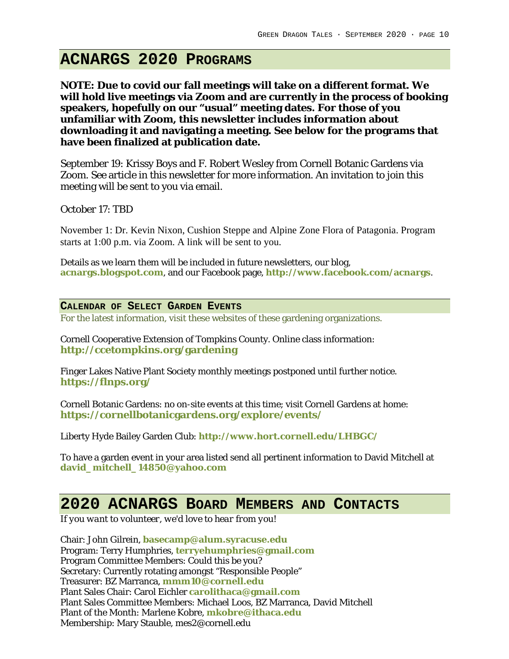# **ACNARGS 2020 PROGRAMS**

**NOTE: Due to covid our fall meetings will take on a different format. We will hold live meetings via Zoom and are currently in the process of booking speakers, hopefully on our "usual" meeting dates. For those of you unfamiliar with Zoom, this newsletter includes information about downloading it and navigating a meeting. See below for the programs that have been finalized at publication date.**

September 19: Krissy Boys and F. Robert Wesley from Cornell Botanic Gardens via Zoom. See article in this newsletter for more information. An invitation to join this meeting will be sent to you via email.

October 17: TBD

November 1: Dr. Kevin Nixon, Cushion Steppe and Alpine Zone Flora of Patagonia. Program starts at 1:00 p.m. via Zoom. A link will be sent to you.

Details as we learn them will be included in future newsletters, our blog, **acnargs.blogspot.com**, and our Facebook page, **http://www.facebook.com/acnargs**.

**CALENDAR OF SELECT GARDEN EVENTS**

For the latest information, visit these websites of these gardening organizations.

Cornell Cooperative Extension of Tompkins County. Online class information: **http://ccetompkins.org/gardening**

Finger Lakes Native Plant Society monthly meetings postponed until further notice. **https://flnps.org/**

Cornell Botanic Gardens: no on-site events at this time; visit Cornell Gardens at home: **https://cornellbotanicgardens.org/explore/events/**

Liberty Hyde Bailey Garden Club: **http://www.hort.cornell.edu/LHBGC/**

To have a garden event in your area listed send all pertinent information to David Mitchell at **david\_mitchell\_14850@yahoo.com**

# **2020 ACNARGS BOARD MEMBERS AND CONTACTS**

*If you want to volunteer, we'd love to hear from you!*

Chair: John Gilrein, **basecamp@alum.syracuse.edu** Program: Terry Humphries, **terryehumphries@gmail.com** Program Committee Members: Could this be you? Secretary: Currently rotating amongst "Responsible People" Treasurer: BZ Marranca, **mmm10@cornell.edu** Plant Sales Chair: Carol Eichler **carolithaca@gmail.com** Plant Sales Committee Members: Michael Loos, BZ Marranca, David Mitchell Plant of the Month: Marlene Kobre, **mkobre@ithaca.edu** Membership: Mary Stauble, mes2@cornell.edu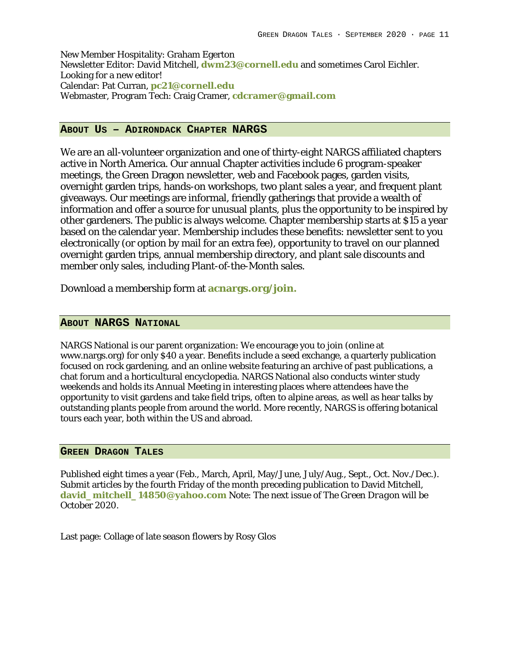New Member Hospitality: Graham Egerton Newsletter Editor: David Mitchell, **dwm23@cornell.edu** and sometimes Carol Eichler. Looking for a new editor! Calendar: Pat Curran, **pc21@cornell.edu** Webmaster, Program Tech: Craig Cramer, **cdcramer@gmail.com**

#### **ABOUT US – ADIRONDACK CHAPTER NARGS**

We are an all-volunteer organization and one of thirty-eight NARGS affiliated chapters active in North America. Our annual Chapter activities include 6 program-speaker meetings, the Green Dragon newsletter, web and Facebook pages, garden visits, overnight garden trips, hands-on workshops, two plant sales a year, and frequent plant giveaways. Our meetings are informal, friendly gatherings that provide a wealth of information and offer a source for unusual plants, plus the opportunity to be inspired by other gardeners. The public is always welcome. Chapter membership starts at \$15 a year based on the calendar year. Membership includes these benefits: newsletter sent to you electronically (or option by mail for an extra fee), opportunity to travel on our planned overnight garden trips, annual membership directory, and plant sale discounts and member only sales, including Plant-of-the-Month sales.

Download a membership form at **acnargs.org/join.**

#### **ABOUT NARGS NATIONAL**

NARGS National is our parent organization: We encourage you to join (online at www.nargs.org) for only \$40 a year. Benefits include a seed exchange, a quarterly publication focused on rock gardening, and an online website featuring an archive of past publications, a chat forum and a horticultural encyclopedia. NARGS National also conducts winter study weekends and holds its Annual Meeting in interesting places where attendees have the opportunity to visit gardens and take field trips, often to alpine areas, as well as hear talks by outstanding plants people from around the world. More recently, NARGS is offering botanical tours each year, both within the US and abroad.

#### **GREEN DRAGON TALES**

Published eight times a year (Feb., March, April, May/June, July/Aug., Sept., Oct. Nov./Dec.). Submit articles by the fourth Friday of the month preceding publication to David Mitchell, **david\_mitchell\_14850@yahoo.com** Note: The next issue of *The Green Dragon* will be October 2020.

Last page: Collage of late season flowers by Rosy Glos